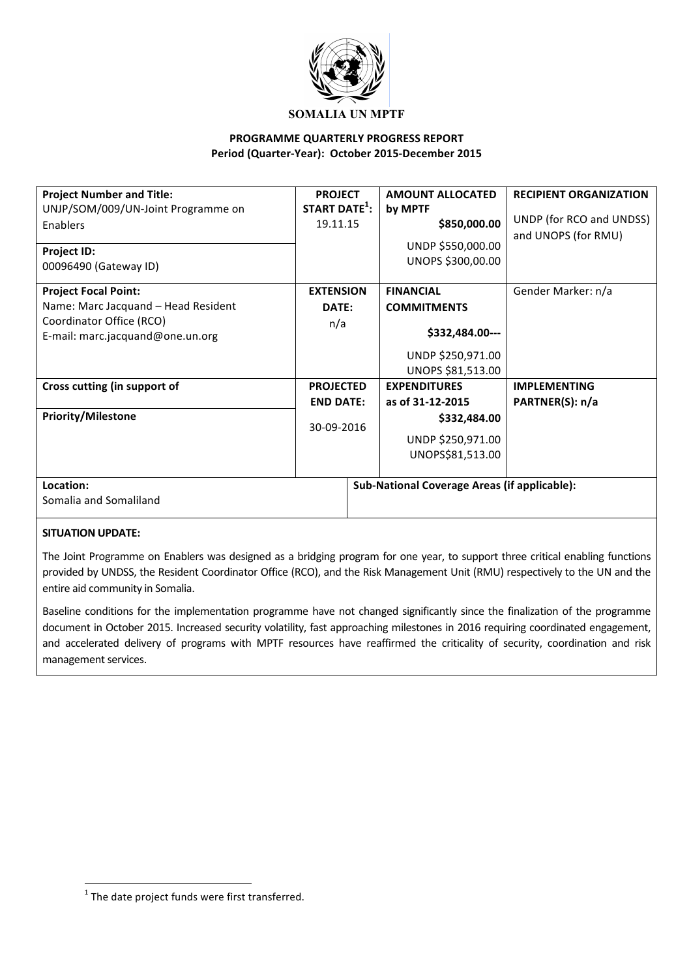

#### **PROGRAMME QUARTERLY PROGRESS REPORT** Period (Quarter-Year): October 2015-December 2015

| <b>Project Number and Title:</b>    | <b>PROJECT</b>            | <b>AMOUNT ALLOCATED</b>                             | <b>RECIPIENT ORGANIZATION</b> |
|-------------------------------------|---------------------------|-----------------------------------------------------|-------------------------------|
| UNJP/SOM/009/UN-Joint Programme on  | START DATE <sup>1</sup> : | by MPTF                                             |                               |
| Enablers                            | 19.11.15                  | \$850,000.00                                        | UNDP (for RCO and UNDSS)      |
|                                     |                           | UNDP \$550,000.00                                   | and UNOPS (for RMU)           |
| Project ID:                         |                           |                                                     |                               |
| 00096490 (Gateway ID)               |                           | UNOPS \$300,00.00                                   |                               |
| <b>Project Focal Point:</b>         | <b>EXTENSION</b>          | <b>FINANCIAL</b>                                    | Gender Marker: n/a            |
| Name: Marc Jacquand - Head Resident | DATE:                     | <b>COMMITMENTS</b>                                  |                               |
| Coordinator Office (RCO)            | n/a                       |                                                     |                               |
| E-mail: marc.jacquand@one.un.org    |                           | \$332,484.00---                                     |                               |
|                                     |                           | UNDP \$250,971.00                                   |                               |
|                                     |                           | UNOPS \$81,513.00                                   |                               |
| Cross cutting (in support of        | <b>PROJECTED</b>          | <b>EXPENDITURES</b>                                 | <b>IMPLEMENTING</b>           |
|                                     | <b>END DATE:</b>          | as of 31-12-2015                                    | PARTNER(S): n/a               |
| <b>Priority/Milestone</b>           | 30-09-2016                | \$332,484.00                                        |                               |
|                                     |                           | UNDP \$250,971.00                                   |                               |
|                                     |                           | UNOPS\$81,513.00                                    |                               |
|                                     |                           |                                                     |                               |
| Location:                           |                           | <b>Sub-National Coverage Areas (if applicable):</b> |                               |
| Somalia and Somaliland              |                           |                                                     |                               |
|                                     |                           |                                                     |                               |

#### **SITUATION UPDATE:**

The Joint Programme on Enablers was designed as a bridging program for one year, to support three critical enabling functions provided by UNDSS, the Resident Coordinator Office (RCO), and the Risk Management Unit (RMU) respectively to the UN and the entire aid community in Somalia.

Baseline conditions for the implementation programme have not changed significantly since the finalization of the programme document in October 2015. Increased security volatility, fast approaching milestones in 2016 requiring coordinated engagement, and accelerated delivery of programs with MPTF resources have reaffirmed the criticality of security, coordination and risk management services.

<u> 1989 - Jan Samuel Barbara, margaret e</u>

 $1$  The date project funds were first transferred.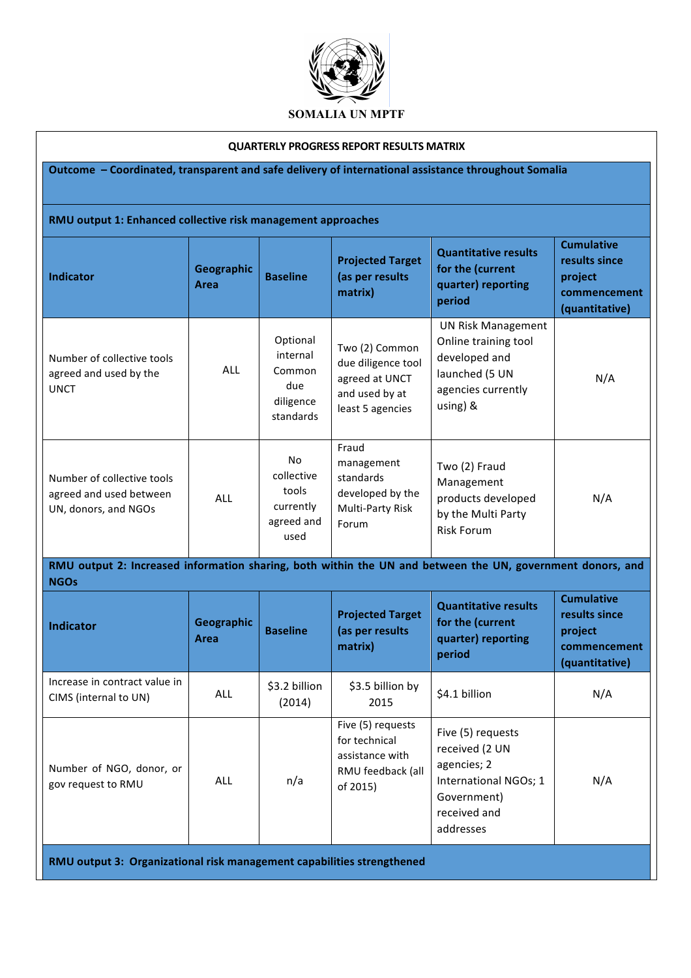

#### **QUARTERLY PROGRESS REPORT RESULTS MATRIX**

## **Outcome** - Coordinated, transparent and safe delivery of international assistance throughout Somalia

| RMU output 1: Enhanced collective risk management approaches                                                              |                                  |                                                                 |                                                                                              |                                                                                                                        |                                                                                 |  |
|---------------------------------------------------------------------------------------------------------------------------|----------------------------------|-----------------------------------------------------------------|----------------------------------------------------------------------------------------------|------------------------------------------------------------------------------------------------------------------------|---------------------------------------------------------------------------------|--|
| <b>Indicator</b>                                                                                                          | <b>Geographic</b><br><b>Area</b> | <b>Baseline</b>                                                 | <b>Projected Target</b><br>(as per results<br>matrix)                                        | <b>Quantitative results</b><br>for the (current<br>quarter) reporting<br>period                                        | <b>Cumulative</b><br>results since<br>project<br>commencement<br>(quantitative) |  |
| Number of collective tools<br>agreed and used by the<br><b>UNCT</b>                                                       | ALL                              | Optional<br>internal<br>Common<br>due<br>diligence<br>standards | Two (2) Common<br>due diligence tool<br>agreed at UNCT<br>and used by at<br>least 5 agencies | <b>UN Risk Management</b><br>Online training tool<br>developed and<br>launched (5 UN<br>agencies currently<br>using) & | N/A                                                                             |  |
| Number of collective tools<br>agreed and used between<br>UN, donors, and NGOs                                             | <b>ALL</b>                       | No.<br>collective<br>tools<br>currently<br>agreed and<br>used   | Fraud<br>management<br>standards<br>developed by the<br>Multi-Party Risk<br>Forum            | Two (2) Fraud<br>Management<br>products developed<br>by the Multi Party<br><b>Risk Forum</b>                           | N/A                                                                             |  |
| RMU output 2: Increased information sharing, both within the UN and between the UN, government donors, and<br><b>NGOs</b> |                                  |                                                                 |                                                                                              |                                                                                                                        |                                                                                 |  |
| <b>Indicator</b>                                                                                                          | <b>Geographic</b><br>Area        | <b>Baseline</b>                                                 | <b>Projected Target</b><br>(as per results<br>matrix)                                        | <b>Quantitative results</b><br>for the (current<br>quarter) reporting<br>period                                        | <b>Cumulative</b><br>results since<br>project<br>commencement<br>(quantitative) |  |
| Increase in contract value in<br>CIMS (internal to UN)                                                                    | ALL                              | \$3.2 billion<br>(2014)                                         | \$3.5 billion by<br>2015                                                                     | \$4.1 billion                                                                                                          | N/A                                                                             |  |
|                                                                                                                           |                                  |                                                                 | Five (5) requests<br>for technical<br>assistance with                                        | Five (5) requests<br>received (2 UN                                                                                    |                                                                                 |  |

RMU feedback (all 

agencies; 2

Government) received and addresses

International NGOs; 1

N/A

of 2015)

**RMU output 3: Organizational risk management capabilities strengthened**

Number of NGO, donor, or

gov request to RMU ALL an/a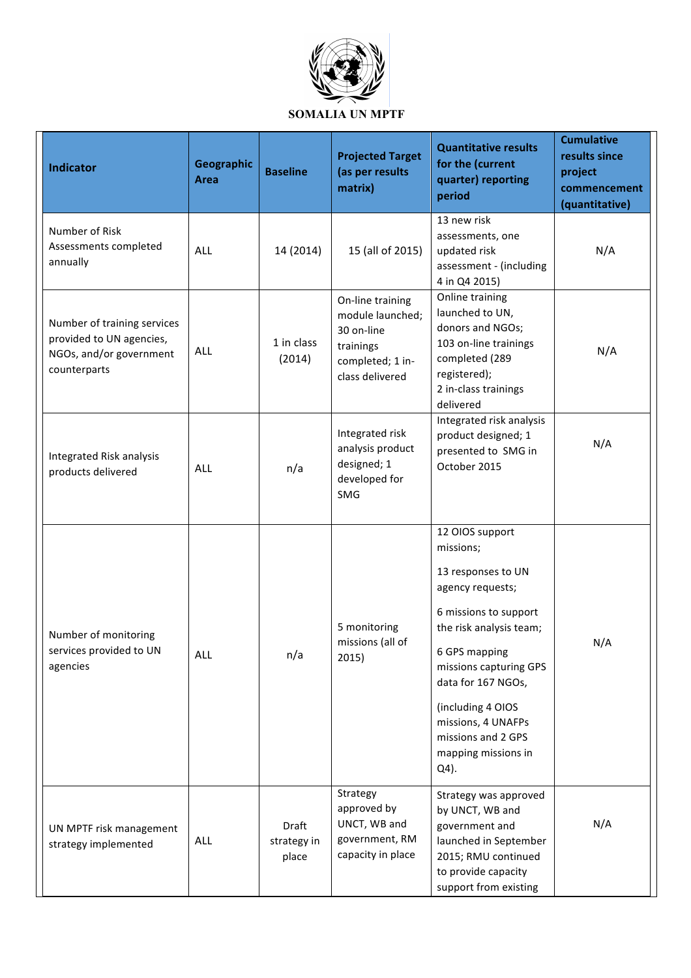

| <b>Indicator</b>                                                                                   | Geographic<br><b>Area</b> | <b>Baseline</b>               | <b>Projected Target</b><br>(as per results<br>matrix)                                                  | <b>Quantitative results</b><br>for the (current<br>quarter) reporting<br>period                                                                                                                                                                                                             | <b>Cumulative</b><br>results since<br>project<br>commencement<br>(quantitative) |
|----------------------------------------------------------------------------------------------------|---------------------------|-------------------------------|--------------------------------------------------------------------------------------------------------|---------------------------------------------------------------------------------------------------------------------------------------------------------------------------------------------------------------------------------------------------------------------------------------------|---------------------------------------------------------------------------------|
| Number of Risk<br>Assessments completed<br>annually                                                | <b>ALL</b>                | 14 (2014)                     | 15 (all of 2015)                                                                                       | 13 new risk<br>assessments, one<br>updated risk<br>assessment - (including<br>4 in Q4 2015)                                                                                                                                                                                                 | N/A                                                                             |
| Number of training services<br>provided to UN agencies,<br>NGOs, and/or government<br>counterparts | <b>ALL</b>                | 1 in class<br>(2014)          | On-line training<br>module launched;<br>30 on-line<br>trainings<br>completed; 1 in-<br>class delivered | Online training<br>launched to UN,<br>donors and NGOs;<br>103 on-line trainings<br>completed (289<br>registered);<br>2 in-class trainings<br>delivered                                                                                                                                      | N/A                                                                             |
| Integrated Risk analysis<br>products delivered                                                     | <b>ALL</b>                | n/a                           | Integrated risk<br>analysis product<br>designed; 1<br>developed for<br>SMG                             | Integrated risk analysis<br>product designed; 1<br>presented to SMG in<br>October 2015                                                                                                                                                                                                      | N/A                                                                             |
| Number of monitoring<br>services provided to UN<br>agencies                                        | <b>ALL</b>                | n/a                           | 5 monitoring<br>missions (all of<br>2015)                                                              | 12 OIOS support<br>missions;<br>13 responses to UN<br>agency requests;<br>6 missions to support<br>the risk analysis team;<br>6 GPS mapping<br>missions capturing GPS<br>data for 167 NGOs,<br>(including 4 OIOS<br>missions, 4 UNAFPs<br>missions and 2 GPS<br>mapping missions in<br>Q4). | N/A                                                                             |
| UN MPTF risk management<br>strategy implemented                                                    | <b>ALL</b>                | Draft<br>strategy in<br>place | Strategy<br>approved by<br>UNCT, WB and<br>government, RM<br>capacity in place                         | Strategy was approved<br>by UNCT, WB and<br>government and<br>launched in September<br>2015; RMU continued<br>to provide capacity<br>support from existing                                                                                                                                  | N/A                                                                             |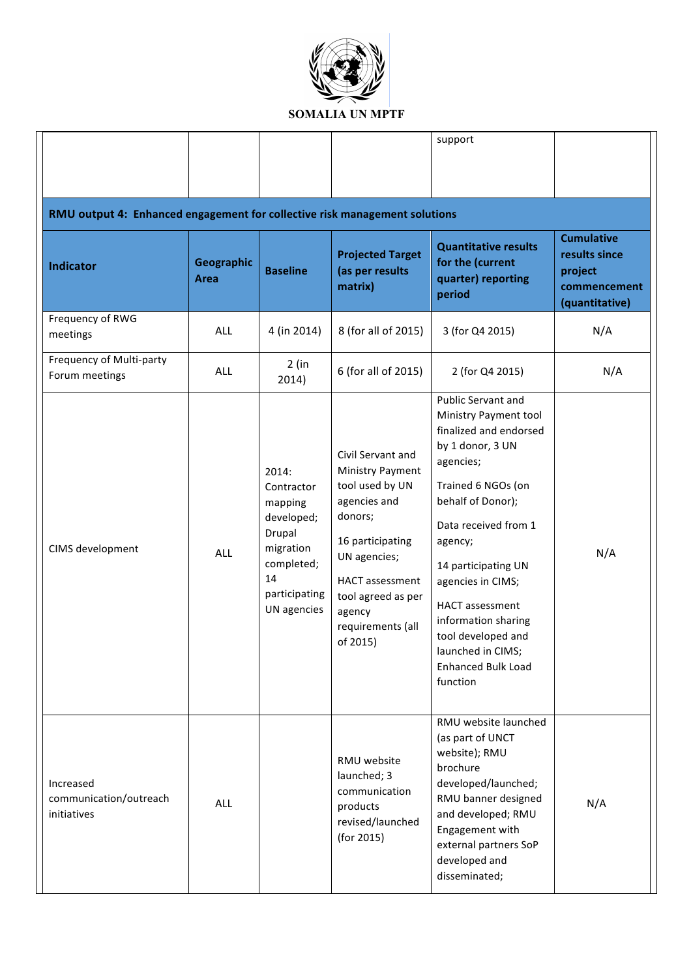

|                                                                            |                    |                                                                                                                         |                                                                                                                                                                                                                    | support                                                                                                                                                                                                                                                                                                                                                                      |                                                                                 |  |
|----------------------------------------------------------------------------|--------------------|-------------------------------------------------------------------------------------------------------------------------|--------------------------------------------------------------------------------------------------------------------------------------------------------------------------------------------------------------------|------------------------------------------------------------------------------------------------------------------------------------------------------------------------------------------------------------------------------------------------------------------------------------------------------------------------------------------------------------------------------|---------------------------------------------------------------------------------|--|
| RMU output 4: Enhanced engagement for collective risk management solutions |                    |                                                                                                                         |                                                                                                                                                                                                                    |                                                                                                                                                                                                                                                                                                                                                                              |                                                                                 |  |
| <b>Indicator</b>                                                           | Geographic<br>Area | <b>Baseline</b>                                                                                                         | <b>Projected Target</b><br>(as per results<br>matrix)                                                                                                                                                              | <b>Quantitative results</b><br>for the (current<br>quarter) reporting<br>period                                                                                                                                                                                                                                                                                              | <b>Cumulative</b><br>results since<br>project<br>commencement<br>(quantitative) |  |
| Frequency of RWG<br>meetings                                               | ALL                | 4 (in 2014)                                                                                                             | 8 (for all of 2015)                                                                                                                                                                                                | 3 (for Q4 2015)                                                                                                                                                                                                                                                                                                                                                              | N/A                                                                             |  |
| Frequency of Multi-party<br>Forum meetings                                 | ALL                | $2$ (in<br>2014)                                                                                                        | 6 (for all of 2015)                                                                                                                                                                                                | 2 (for Q4 2015)                                                                                                                                                                                                                                                                                                                                                              | N/A                                                                             |  |
| CIMS development                                                           | <b>ALL</b>         | 2014:<br>Contractor<br>mapping<br>developed;<br>Drupal<br>migration<br>completed;<br>14<br>participating<br>UN agencies | Civil Servant and<br>Ministry Payment<br>tool used by UN<br>agencies and<br>donors;<br>16 participating<br>UN agencies;<br><b>HACT</b> assessment<br>tool agreed as per<br>agency<br>requirements (all<br>of 2015) | <b>Public Servant and</b><br>Ministry Payment tool<br>finalized and endorsed<br>by 1 donor, 3 UN<br>agencies;<br>Trained 6 NGOs (on<br>behalf of Donor);<br>Data received from 1<br>agency;<br>14 participating UN<br>agencies in CIMS;<br><b>HACT</b> assessment<br>information sharing<br>tool developed and<br>launched in CIMS;<br><b>Enhanced Bulk Load</b><br>function | N/A                                                                             |  |
| Increased<br>communication/outreach<br>initiatives                         | ALL                |                                                                                                                         | RMU website<br>launched; 3<br>communication<br>products<br>revised/launched<br>(for 2015)                                                                                                                          | RMU website launched<br>(as part of UNCT<br>website); RMU<br>brochure<br>developed/launched;<br>RMU banner designed<br>and developed; RMU<br>Engagement with<br>external partners SoP<br>developed and<br>disseminated;                                                                                                                                                      | N/A                                                                             |  |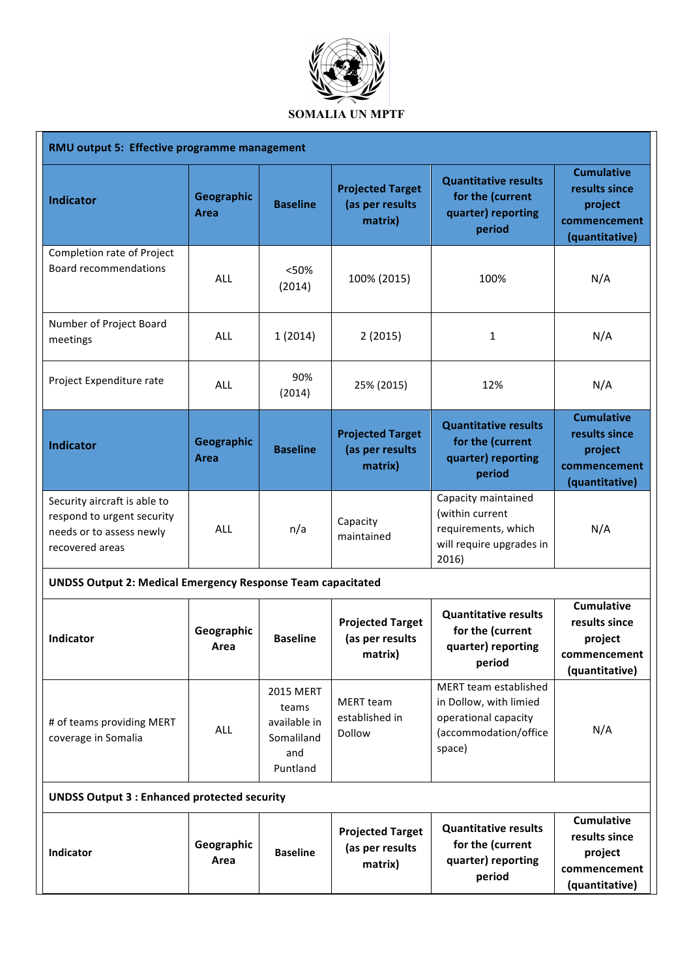

| RMU output 5: Effective programme management                                                              |                    |                                                                            |                                                       |                                                                                                            |                                                                                 |  |
|-----------------------------------------------------------------------------------------------------------|--------------------|----------------------------------------------------------------------------|-------------------------------------------------------|------------------------------------------------------------------------------------------------------------|---------------------------------------------------------------------------------|--|
| <b>Indicator</b>                                                                                          | Geographic<br>Area | <b>Baseline</b>                                                            | <b>Projected Target</b><br>(as per results<br>matrix) | <b>Quantitative results</b><br>for the (current<br>quarter) reporting<br>period                            | <b>Cumulative</b><br>results since<br>project<br>commencement<br>(quantitative) |  |
| Completion rate of Project<br><b>Board recommendations</b>                                                | <b>ALL</b>         | <50%<br>(2014)                                                             | 100% (2015)                                           | 100%                                                                                                       | N/A                                                                             |  |
| Number of Project Board<br>meetings                                                                       | <b>ALL</b>         | 1(2014)                                                                    | 2(2015)                                               | 1                                                                                                          | N/A                                                                             |  |
| Project Expenditure rate                                                                                  | <b>ALL</b>         | 90%<br>(2014)                                                              | 25% (2015)                                            | 12%                                                                                                        | N/A                                                                             |  |
| <b>Indicator</b>                                                                                          | Geographic<br>Area | <b>Baseline</b>                                                            | <b>Projected Target</b><br>(as per results<br>matrix) | <b>Quantitative results</b><br>for the (current<br>quarter) reporting<br>period                            | <b>Cumulative</b><br>results since<br>project<br>commencement<br>(quantitative) |  |
| Security aircraft is able to<br>respond to urgent security<br>needs or to assess newly<br>recovered areas | ALL                | n/a                                                                        | Capacity<br>maintained                                | Capacity maintained<br>(within current<br>requirements, which<br>will require upgrades in<br>2016)         | N/A                                                                             |  |
| <b>UNDSS Output 2: Medical Emergency Response Team capacitated</b>                                        |                    |                                                                            |                                                       |                                                                                                            |                                                                                 |  |
| <b>Indicator</b>                                                                                          | Geographic<br>Area | <b>Baseline</b>                                                            | <b>Projected Target</b><br>(as per results<br>matrix) | <b>Quantitative results</b><br>for the (current<br>quarter) reporting<br>period                            | <b>Cumulative</b><br>results since<br>project<br>commencement<br>(quantitative) |  |
| # of teams providing MERT<br>coverage in Somalia                                                          | <b>ALL</b>         | <b>2015 MERT</b><br>teams<br>available in<br>Somaliland<br>and<br>Puntland | <b>MERT</b> team<br>established in<br>Dollow          | MERT team established<br>in Dollow, with limied<br>operational capacity<br>(accommodation/office<br>space) | N/A                                                                             |  |
| <b>UNDSS Output 3 : Enhanced protected security</b>                                                       |                    |                                                                            |                                                       |                                                                                                            |                                                                                 |  |
| Indicator                                                                                                 | Geographic<br>Area | <b>Baseline</b>                                                            | <b>Projected Target</b><br>(as per results<br>matrix) | <b>Quantitative results</b><br>for the (current<br>quarter) reporting<br>period                            | <b>Cumulative</b><br>results since<br>project<br>commencement<br>(quantitative) |  |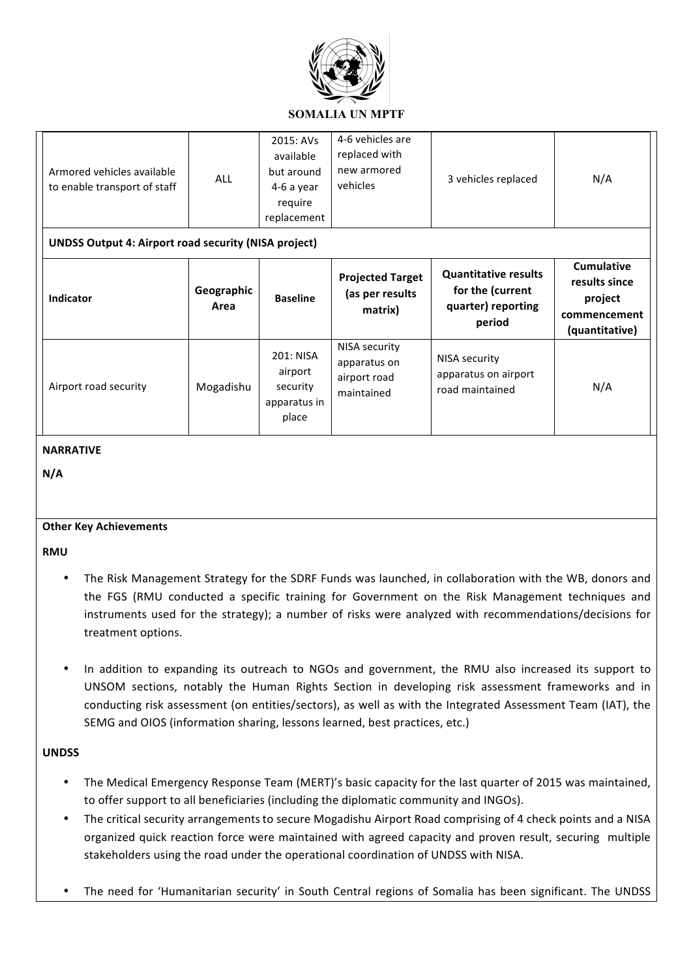

| Armored vehicles available<br>to enable transport of staff<br><b>UNDSS Output 4: Airport road security (NISA project)</b> | <b>ALL</b>         | 2015: AVs<br>available<br>but around<br>4-6 a year<br>require<br>replacement | 4-6 vehicles are<br>replaced with<br>new armored<br>vehicles | 3 vehicles replaced                                                             | N/A                                                                             |
|---------------------------------------------------------------------------------------------------------------------------|--------------------|------------------------------------------------------------------------------|--------------------------------------------------------------|---------------------------------------------------------------------------------|---------------------------------------------------------------------------------|
| <b>Indicator</b>                                                                                                          | Geographic<br>Area | <b>Baseline</b>                                                              | <b>Projected Target</b><br>(as per results<br>matrix)        | <b>Quantitative results</b><br>for the (current<br>quarter) reporting<br>period | <b>Cumulative</b><br>results since<br>project<br>commencement<br>(quantitative) |
| Airport road security                                                                                                     | Mogadishu          | 201: NISA<br>airport<br>security<br>apparatus in<br>place                    | NISA security<br>apparatus on<br>airport road<br>maintained  | NISA security<br>apparatus on airport<br>road maintained                        | N/A                                                                             |

#### **NARRATIVE**

**N/A**

#### **Other Key Achievements**

**RMU**

- The Risk Management Strategy for the SDRF Funds was launched, in collaboration with the WB, donors and the FGS (RMU conducted a specific training for Government on the Risk Management techniques and instruments used for the strategy); a number of risks were analyzed with recommendations/decisions for treatment options.
- In addition to expanding its outreach to NGOs and government, the RMU also increased its support to UNSOM sections, notably the Human Rights Section in developing risk assessment frameworks and in conducting risk assessment (on entities/sectors), as well as with the Integrated Assessment Team (IAT), the SEMG and OIOS (information sharing, lessons learned, best practices, etc.)

#### **UNDSS**

- The Medical Emergency Response Team (MERT)'s basic capacity for the last quarter of 2015 was maintained, to offer support to all beneficiaries (including the diplomatic community and INGOs).
- The critical security arrangements to secure Mogadishu Airport Road comprising of 4 check points and a NISA organized quick reaction force were maintained with agreed capacity and proven result, securing multiple stakeholders using the road under the operational coordination of UNDSS with NISA.
- The need for 'Humanitarian security' in South Central regions of Somalia has been significant. The UNDSS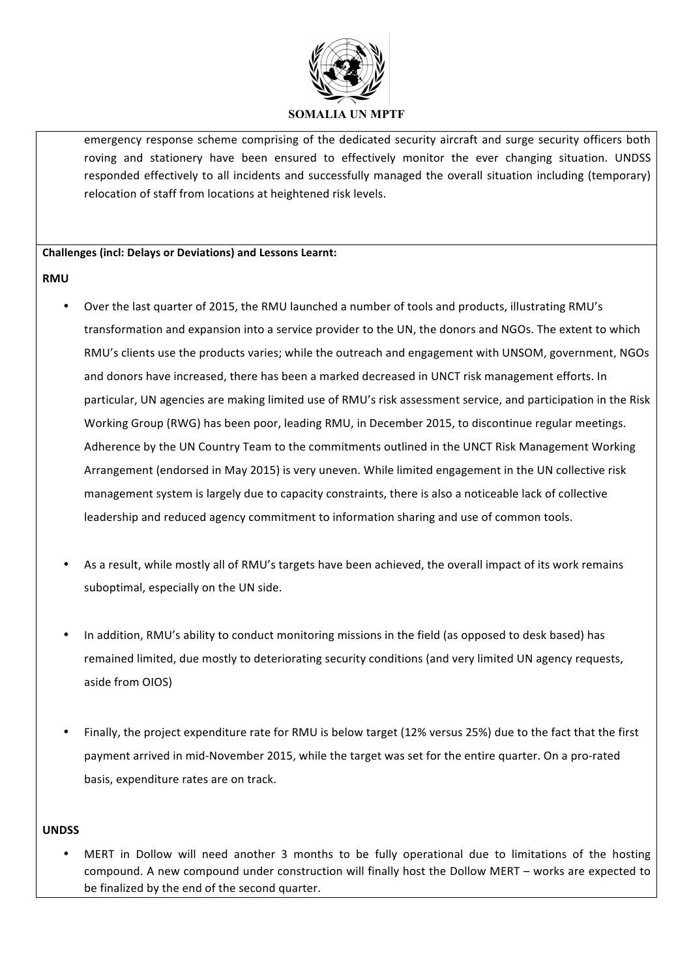

emergency response scheme comprising of the dedicated security aircraft and surge security officers both roving and stationery have been ensured to effectively monitor the ever changing situation. UNDSS responded effectively to all incidents and successfully managed the overall situation including (temporary) relocation of staff from locations at heightened risk levels.

#### **Challenges (incl: Delays or Deviations) and Lessons Learnt:**

# **RMU**

- Over the last quarter of 2015, the RMU launched a number of tools and products, illustrating RMU's transformation and expansion into a service provider to the UN, the donors and NGOs. The extent to which RMU's clients use the products varies; while the outreach and engagement with UNSOM, government, NGOs and donors have increased, there has been a marked decreased in UNCT risk management efforts. In particular, UN agencies are making limited use of RMU's risk assessment service, and participation in the Risk Working Group (RWG) has been poor, leading RMU, in December 2015, to discontinue regular meetings. Adherence by the UN Country Team to the commitments outlined in the UNCT Risk Management Working Arrangement (endorsed in May 2015) is very uneven. While limited engagement in the UN collective risk management system is largely due to capacity constraints, there is also a noticeable lack of collective leadership and reduced agency commitment to information sharing and use of common tools.
- As a result, while mostly all of RMU's targets have been achieved, the overall impact of its work remains suboptimal, especially on the UN side.
- In addition, RMU's ability to conduct monitoring missions in the field (as opposed to desk based) has remained limited, due mostly to deteriorating security conditions (and very limited UN agency requests, aside from OIOS)
- Finally, the project expenditure rate for RMU is below target (12% versus 25%) due to the fact that the first payment arrived in mid-November 2015, while the target was set for the entire quarter. On a pro-rated basis, expenditure rates are on track.

# **UNDSS**

MERT in Dollow will need another 3 months to be fully operational due to limitations of the hosting compound. A new compound under construction will finally host the Dollow MERT – works are expected to be finalized by the end of the second quarter.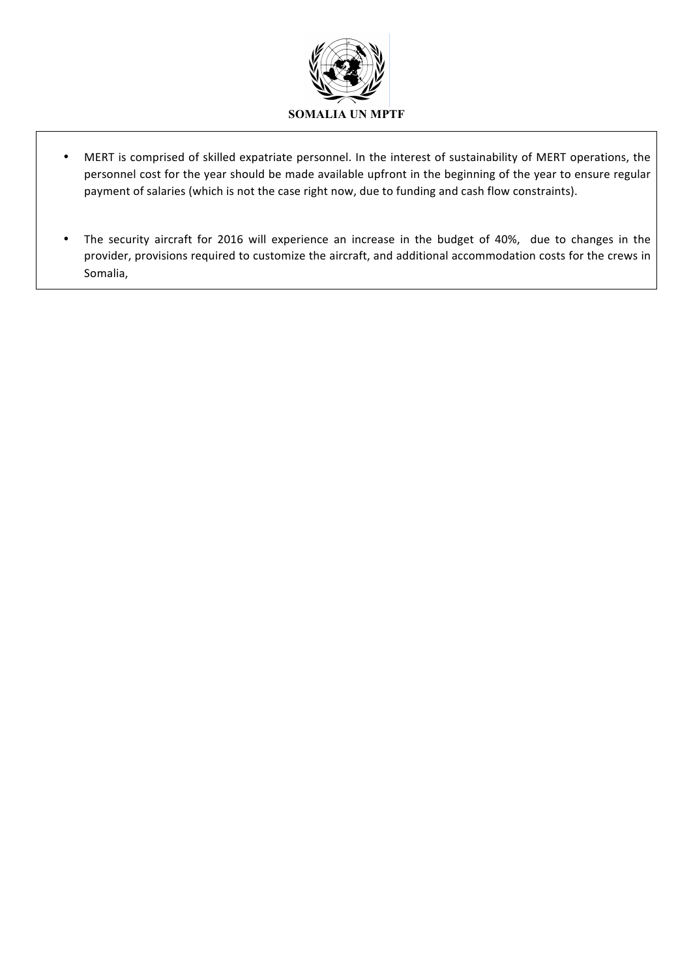

- MERT is comprised of skilled expatriate personnel. In the interest of sustainability of MERT operations, the personnel cost for the year should be made available upfront in the beginning of the year to ensure regular payment of salaries (which is not the case right now, due to funding and cash flow constraints).
- The security aircraft for 2016 will experience an increase in the budget of 40%, due to changes in the provider, provisions required to customize the aircraft, and additional accommodation costs for the crews in Somalia,